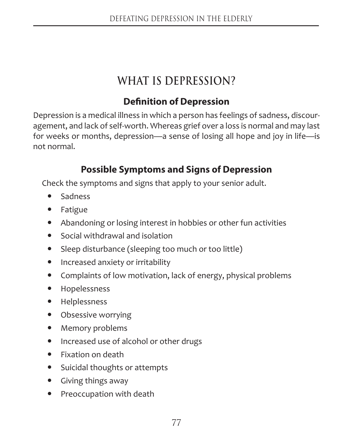## **What is Depression?**

## **Definition of Depression**

Depression is a medical illness in which a person has feelings of sadness, discouragement, and lack of self-worth. Whereas grief over a loss is normal and may last for weeks or months, depression—a sense of losing all hope and joy in life—is not normal.

## **Possible Symptoms and Signs of Depression**

Check the symptoms and signs that apply to your senior adult.

- Sadness  $\bullet$
- Fatigue  $\bullet$
- Abandoning or losing interest in hobbies or other fun activities  $\bullet$
- **•** Social withdrawal and isolation
- Sleep disturbance (sleeping too much or too little)  $\bullet$
- Increased anxiety or irritability  $\bullet$
- Complaints of low motivation, lack of energy, physical problems  $\bullet$
- Hopelessness
- Helplessness  $\bullet$
- Obsessive worrying  $\bullet$
- Memory problems  $\bullet$
- Increased use of alcohol or other drugs  $\bullet$
- Fixation on death  $\bullet$
- Suicidal thoughts or attempts  $\bullet$
- Giving things away  $\bullet$
- Preoccupation with death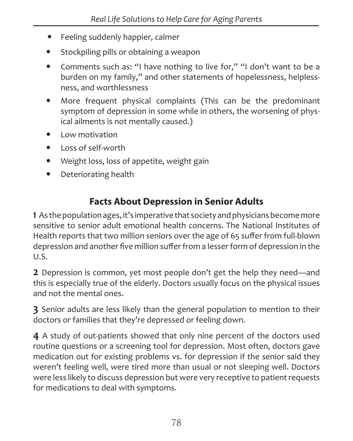- Feeling suddenly happier, calmer  $\bullet$
- Stockpiling pills or obtaining a weapon  $\bullet$
- Comments such as: "I have nothing to live for," "I don't want to be a burden on my family," and other statements of hopelessness, helplessness, and worthlessness  $\bullet$
- More frequent physical complaints (This can be the predominant symptom of depression in some while in others, the worsening of physical ailments is not mentally caused.)  $\bullet$
- Low motivation  $\bullet$
- Loss of self-worth  $\bullet$
- Weight loss, loss of appetite, weight gain  $\bullet$
- Deteriorating health  $\bullet$

## **Facts About Depression in Senior Adults**

**1** As the population ages, it's imperative that society and physicians become more sensitive to senior adult emotional health concerns. The National Institutes of Health reports that two million seniors over the age of 65 suffer from full-blown depression and another five million suffer from a lesser form of depression in the U.S.

**2** Depression is common, yet most people don't get the help they need—and this is especially true of the elderly. Doctors usually focus on the physical issues and not the mental ones.

**3** Senior adults are less likely than the general population to mention to their doctors or families that they're depressed or feeling down.

**4** A study of out-patients showed that only nine percent of the doctors used routine questions or a screening tool for depression. Most often, doctors gave medication out for existing problems vs. for depression if the senior said they weren't feeling well, were tired more than usual or not sleeping well. Doctors were less likely to discuss depression but were very receptive to patient requests for medications to deal with symptoms.